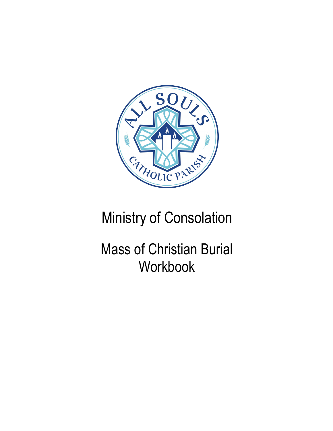

# Ministry of Consolation

 Mass of Christian Burial **Workbook**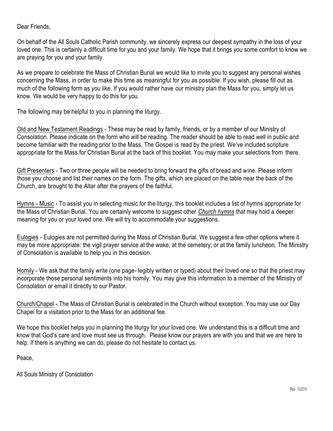#### Dear Friends,

On behalf of the All Souls Catholic Parish community, we sincerely express our deepest sympathy in the loss of your loved one. This is certainly a difficult time for you and your family. We hope that it brings you some comfort to know we are praying for you and your family.

As we prepare to celebrate the Mass of Christian Burial we would like to invite you to suggest any personal wishes concerning the Mass, in order to make this time as meaningful for you as possible. If you wish, please fill out as much of the following form as you like. If you would rather have our ministry plan the Mass for you, simply let us know. We would be very happy to do this for you.

The following may be helpful to you in planning the liturgy.

Old and New Testament Readings - These may be read by family, friends, or by a member of our Ministry of Consolation. Please indicate on the form who will be reading. The reader should be able to read well in public and become familiar with the reading prior to the Mass. The Gospel is read by the priest. We've included scripture appropriate for the Mass for Christian Burial at the back of this booklet. You may make your selections from there.

Gift Presenters - Two or three people will be needed to bring forward the gifts of bread and wine. Please inform those you choose and list their names on the form. The gifts, which are placed on the table near the back of the Church, are brought to the Altar after the prayers of the faithful.

Hymns - Music - To assist you in selecting music for the liturgy, this booklet includes a list of hymns appropriate for the Mass of Christian Burial. You are certainly welcome to suggest other *Church hymns* that may hold a deeper meaning for you or your loved one. We will try to accommodate your suggestions.

Eulogies - Eulogies are not permitted during the Mass of Christian Burial. We suggest a few other options where it may be more appropriate: the vigil prayer service at the wake; at the cemetery; or at the family luncheon. The Ministry of Consolation is available to help you in this decision.

Homily - We ask that the family write (one page- legibly written or typed) about their loved one so that the priest may incorporate those personal sentiments into his homily. You may give this information to a member of the Ministry of Consolation or email it directly to our Pastor.

Church/Chapel - The Mass of Christian Burial is celebrated in the Church without exception. You may use our Day Chapel for a visitation prior to the Mass for an additional fee.

We hope this booklet helps you in planning the liturgy for your loved one. We understand this is a difficult time and know that God's care and love must see us through. Please know our prayers are with you and that we are here to help. If there is anything we can do, please do not hesitate to contact us.

Peace,

All Souls Ministry of Consolation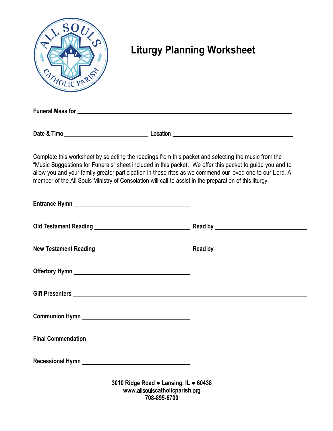

### **Liturgy Planning Worksheet**

**Funeral Mass for** 

Date & Time **Location** 

Complete this worksheet by selecting the readings from this packet and selecting the music from the "Music Suggestions for Funerals" sheet included in this packet. We offer this packet to guide you and to allow you and your family greater participation in these rites as we commend our loved one to our Lord. A member of the All Souls Ministry of Consolation will call to assist in the preparation of this liturgy.

| 3010 Ridge Road . Lansing, IL . 60438<br>www.allsoulscatholicparish.org |  |
|-------------------------------------------------------------------------|--|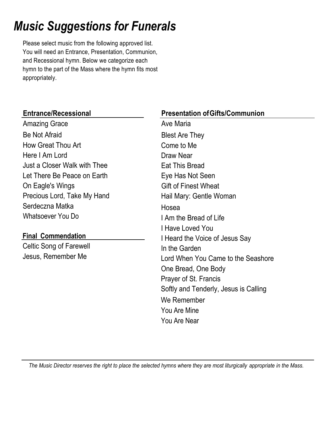# *Music Suggestions for Funerals*

Please select music from the following approved list. You will need an Entrance, Presentation, Communion, and Recessional hymn. Below we categorize each hymn to the part of the Mass where the hymn fits most appropriately.

Amazing Grace Be Not Afraid How Great Thou Art Here I Am Lord Just a Closer Walk with Thee Let There Be Peace on Earth On Eagle's Wings Precious Lord, Take My Hand Serdeczna Matka Whatsoever You Do

### **Final Commendation**

Celtic Song of Farewell Jesus, Remember Me

### **Entrance/Recessional Presentation of Gifts/Communion**

Ave Maria Blest Are They Come to Me Draw Near Eat This Bread Eye Has Not Seen Gift of Finest Wheat Hail Mary: Gentle Woman Hosea I Am the Bread of Life I Have Loved You I Heard the Voice of Jesus Say In the Garden Lord When You Came to the Seashore One Bread, One Body Prayer of St. Francis Softly and Tenderly, Jesus is Calling We Remember You Are Mine You Are Near

*The Music Director reserves the right to place the selected hymns where they are most liturgically appropriate in the Mass.*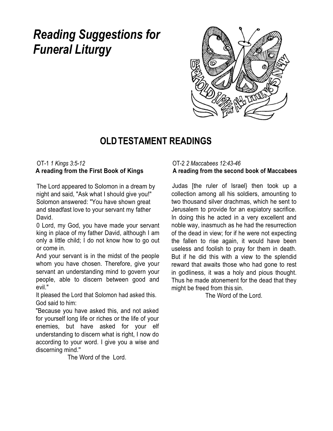## *Reading Suggestions for Funeral Liturgy*



### **OLD TESTAMENT READINGS**

### OT-1 *1 Kings 3:5-12* OT-2 *2 Maccabees 12:43-46* **A reading from the First Book of Kings**

The Lord appeared to Solomon in a dream by night and said, "Ask what I should give you!" Solomon answered: "You have shown great and steadfast love to your servant my father David.

0 Lord, my God, you have made your servant king in place of my father David, although I am only a little child; I do not know how to go out or come in.

And your servant is in the midst of the people whom you have chosen. Therefore, give your servant an understanding mind to govern your people, able to discern between good and evil."

It pleased the Lord that Solomon had asked this. God said to him:

"Because you have asked this, and not asked for yourself long life or riches or the life of your enemies, but have asked for your elf understanding to discern what is right, I now do according to your word. I give you a wise and discerning mind.''

The Word of the Lord.

### **A reading from the second book of Maccabees**

Judas [the ruler of Israel} then took up a collection among all his soldiers, amounting to two thousand silver drachmas, which he sent to Jerusalem to provide for an expiatory sacrifice. In doing this he acted in a very excellent and noble way, inasmuch as he had the resurrection of the dead in view; for if he were not expecting the fallen to rise again, it would have been useless and foolish to pray for them in death. But if he did this with a view to the splendid reward that awaits those who had gone to rest in godliness, it was a holy and pious thought. Thus he made atonement for the dead that they might be freed from this sin.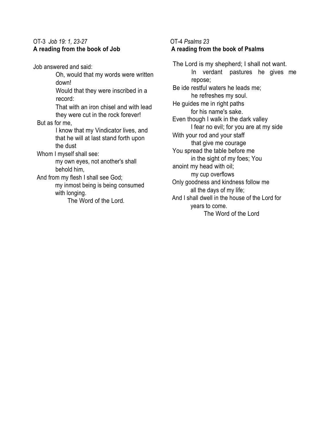# OT-3 *Job 19: 1, 23-27* OT-4 *Psalms 23*

Job answered and said:

Oh, would that my words were written down!

Would that they were inscribed in a record:

That with an iron chisel and with lead they were cut in the rock forever!

But as for me,

I know that my Vindicator lives, and that he will at last stand forth upon the dust

Whom I myself shall see:

my own eyes, not another's shall behold him,

And from my flesh I shall see God; my inmost being is being consumed with longing.

The Word of the Lord.

## **A reading from the book of Job A reading from the book of Psalms**

The Lord is my shepherd; I shall not want. In verdant pastures he gives me repose; Be ide restful waters he leads me; he refreshes my soul. He guides me in right paths for his name's sake. Even though I walk in the dark valley I fear no evil; for you are at my side With your rod and your staff that give me courage You spread the table before me in the sight of my foes; You anoint my head with oil; my cup overflows Only goodness and kindness follow me all the days of my life; And I shall dwell in the house of the Lord for years to come. The Word of the Lord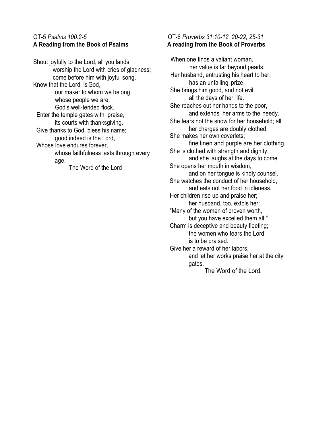Shout joyfully to the Lord, all you lands; worship the Lord with cries of gladness; come before him with joyful song. Know that the Lord is God, our maker to whom we belong, whose people we are, God's well-tended flock. Enter the temple gates with praise, its courts with thanksgiving. Give thanks to God, bless his name; good indeed is the Lord, Whose love endures forever, whose faithfulness lasts through every age. The Word of the Lord

#### OT-5 *Psalms 100:2-5* OT-6 *Proverbs 31:10-12, 20-22, 25-31* **A Reading from the Book of Psalms A reading from the Book of Proverbs**

When one finds a valiant woman, her value is far beyond pearls. Her husband, entrusting his heart to her, has an unfailing prize. She brings him good, and not evil, all the days of her life. She reaches out her hands to the poor, and extends her arms to the needy. She fears not the snow for her household; all her charges are doubly clothed. She makes her own coverlets; fine linen and purple are her clothing. She is clothed with strength and dignity, and she laughs at the days to come. She opens her mouth in wisdom, and on her tongue is kindly counsel. She watches the conduct of her household, and eats not her food in idleness. Her children rise up and praise her; her husband, too, extols her: "Many of the women of proven worth, but you have excelled them all." Charm is deceptive and beauty fleeting; the women who fears the Lord is to be praised. Give her a reward of her labors, and let her works praise her at the city gates.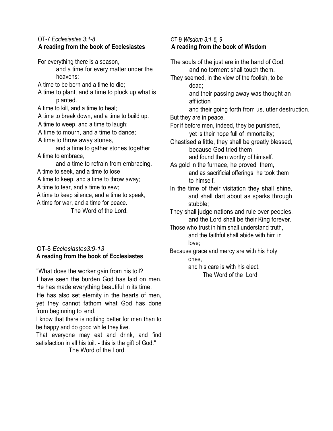### OT-7 *Ecclesiastes 3:1-8* OT-9 *Wisdom 3:1-6, 9* **A reading from the book of Ecclesiastes**

For everything there is a season, and a time for every matter under the heavens: A time to be born and a time to die; A time to plant, and a time to pluck up what is planted. A time to kill, and a time to heal; A time to break down, and a time to build up. A time to weep, and a time to laugh; A time to mourn, and a time to dance; A time to throw away stones, and a time to gather stones together A time to embrace, and a time to refrain from embracing. A time to seek, and a time to lose A time to keep, and a time to throw away; A time to tear, and a time to sew; A time to keep silence, and a time to speak, A time for war, and a time for peace. The Word of the Lord.

### OT-8 *Ecclesiastes3:9-13* **A reading from the book of Ecclesiastes**

"What does the worker gain from his toil? I have seen the burden God has laid on men. He has made everything beautiful in its time. He has also set eternity in the hearts of men, yet they cannot fathom what God has done from beginning to end.

I know that there is nothing better for men than to be happy and do good while they live.

That everyone may eat and drink, and find satisfaction in all his toil. - this is the gift of God." The Word of the Lord

## **A reading from the book of Wisdom**

The souls of the just are in the hand of God, and no torment shall touch them. They seemed, in the view of the foolish, to be dead; and their passing away was thought an affliction and their going forth from us, utter destruction. But they are in peace. For if before men, indeed, they be punished, yet is their hope full of immortality; Chastised a little, they shall be greatly blessed, because God tried them and found them worthy of himself. As gold in the furnace, he proved them, and as sacrificial offerings he took them to himself. In the time of their visitation they shall shine, and shall dart about as sparks through stubble; They shall judge nations and rule over peoples, and the Lord shall be their King forever. Those who trust in him shall understand truth, and the faithful shall abide with him in love; Because grace and mercy are with his holy ones, and his care is with his elect. The Word of the Lord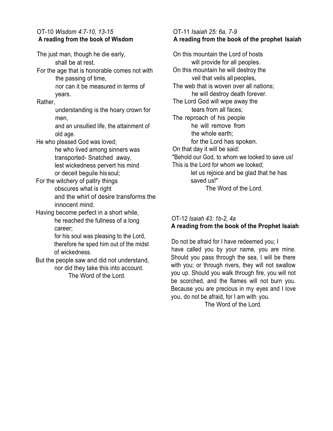#### OT-10 *Wisdom 4:7-10, 13-15* OT-11 *Isaiah 25: 6a, 7-9* **A reading from the book of Wisdom**

The just man, though he die early, shall be at rest. For the age that is honorable comes not with the passing of time, nor can it be measured in terms of years. Rather, understanding is the hoary crown for men, and an unsullied life, the attainment of old age. He who pleased God was loved; he who lived among sinners was transported- Snatched away, lest wickedness pervert his mind or deceit beguile his soul; For the witchery of paltry things obscures what is right and the whirl of desire transforms the innocent mind. Having become perfect in a short while, he reached the fullness of a long career; for his soul was pleasing to the Lord, therefore he sped him out of the midst of wickedness. But the people saw and did not understand, nor did they take this into account.

The Word of the Lord.

# **A reading from the book of the prophet Isaiah**

On this mountain the Lord of hosts will provide for all peoples. On this mountain he will destroy the veil that veils all peoples, The web that is woven over all nations; he will destroy death forever. The Lord God will wipe away the tears from all faces; The reproach of his people he will remove from the whole earth; for the Lord has spoken. On that day it will be said: "Behold our God, to whom we looked to save us! This is the Lord for whom we looked; let us rejoice and be glad that he has saved us!" The Word of the Lord.

#### OT-12 *Isaiah 43: 1b-2, 4a* **A reading from the book of the Prophet Isaiah**

Do not be afraid for I have redeemed you; I have called you by your name, you are mine. Should you pass through the sea, I will be there with you; or through rivers, they will not swallow you up. Should you walk through fire, you will not be scorched, and the flames will not burn you. Because you are precious in my eyes and I love you, do not be afraid, for I am with you.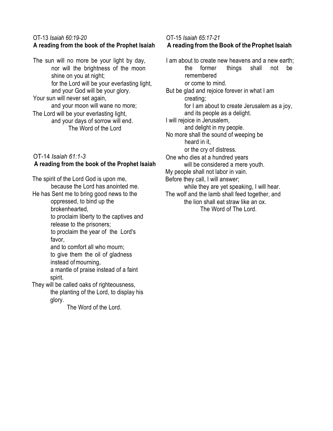#### OT-13 *Isaiah 60:19-20* OT-15 *Isaiah 65:17-21*

#### **A reading from the book of the Prophet Isaiah**

The sun will no more be your light by day, nor will the brightness of the moon shine on you at night; for the Lord will be your everlasting light, and your God will be your glory. Your sun will never set again, and your moon will wane no more; The Lord will be your everlasting light, and your days of sorrow will end. The Word of the Lord

#### OT-14 *Isaiah 61:1-3* **A reading from the book of the Prophet Isaiah**

The spirit of the Lord God is upon me, because the Lord has anointed me.

He has Sent me to bring good news to the oppressed, to bind up the brokenhearted, to proclaim liberty to the captives and release to the prisoners;

to proclaim the year of the Lord's favor,

and to comfort all who mourn; to give them the oil of gladness instead of mourning, a mantle of praise instead of a faint

spirit.

They will be called oaks of righteousness, the planting of the Lord, to display his glory.

The Word of the Lord.

# **A reading from the Book of the Prophet Isaiah**

I am about to create new heavens and a new earth; the former things shall not be remembered or come to mind. But be glad and rejoice forever in what I am creating; for I am about to create Jerusalem as a joy, and its people as a delight. I will rejoice in Jerusalem, and delight in my people. No more shall the sound of weeping be heard in it, or the cry of distress. One who dies at a hundred years will be considered a mere youth. My people shall not labor in vain. Before they call, I will answer; while they are yet speaking, I will hear. The wolf and the lamb shall feed together, and the lion shall eat straw like an ox. The Word of The Lord.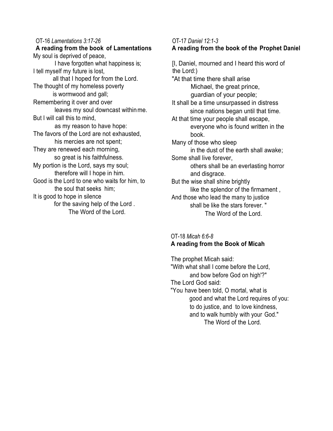#### OT-16 *Lamentations 3:17-26* OT-17 *Daniel 12:1-3*

My soul is deprived of peace, I have forgotten what happiness is; I tell myself my future is lost, all that I hoped for from the Lord. The thought of my homeless poverty is wormwood and gall; Remembering it over and over leaves my soul downcast within me. But I will call this to mind, as my reason to have hope: The favors of the Lord are not exhausted, his mercies are not spent; They are renewed each morning, so great is his faithfulness. My portion is the Lord, says my soul; therefore will I hope in him. Good is the Lord to one who waits for him, to the soul that seeks him; It is good to hope in silence for the saving help of the Lord . The Word of the Lord.

### A reading from the book of Lamentations **A** reading from the book of the Prophet Daniel

[I, Daniel, mourned and I heard this word of the Lord:) "At that time there shall arise Michael, the great prince, guardian of your people; It shall be a time unsurpassed in distress since nations began until that time. At that time your people shall escape, everyone who is found written in the book. Many of those who sleep in the dust of the earth shall awake; Some shall live forever, others shall be an everlasting horror and disgrace. But the wise shall shine brightly like the splendor of the firmament , And those who lead the many to justice shall be like the stars forever. " The Word of the Lord.

### OT-18 *Micah 6:6-8*  **A reading from the Book of Micah**

The prophet Micah said: "With what shall I come before the Lord, and bow before God on high'?" The Lord God said: "You have been told, O mortal, what is good and what the Lord requires of you: to do justice, and to love kindness, and to walk humbly with your God." The Word of the Lord.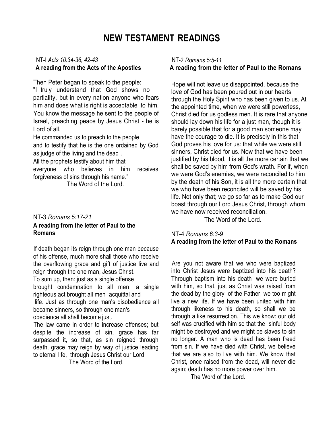### **NEW TESTAMENT READINGS**

## NT-I *Acts 10:34-36, 42-43* NT-2 *Romans 5:5-11*

Then Peter began to speak to the people: "I truly understand that God shows no partiality, but in every nation anyone who fears him and does what is right is acceptable to him. You know the message he sent to the people of Israel, preaching peace by Jesus Christ - he is Lord of all.

He commanded us to preach to the people and to testify that he is the one ordained by God as judge of the living and the dead .

All the prophets testify about him that

everyone who believes in him receives forgiveness of sins through his name."

The Word of the Lord.

#### NT-3 *Romans 5:17-21* **A reading from the letter of Paul to the Romans**

If death began its reign through one man because of his offense, much more shall those who receive the overflowing grace and gift of justice live and reign through the one man, Jesus Christ. To sum up, then: just as a single offense brought condemnation to all men, a single righteous act brought all men acquittal and

 life. Just as through one man's disobedience all became sinners, so through one man's obedience all shall become just.

The law came in order to increase offenses; but despite the increase of sin, grace has far surpassed it, so that, as sin reigned through death, grace may reign by way of justice leading to eternal life, through Jesus Christ our Lord.

The Word of the Lord.

## **A reading from the Acts of the Apostles A reading from the letter of Paul to the Romans**

Hope will not leave us disappointed, because the love of God has been poured out in our hearts through the Holy Spirit who has been given to us. At the appointed time, when we were still powerless, Christ died for us godless men. It is rare that anyone should lay down his life for a just man, though it is barely possible that for a good man someone may have the courage to die. It is precisely in this that God proves his love for us: that while we were still sinners, Christ died for us. Now that we have been justified by his blood, it is all the more certain that we shall be saved by him from God's wrath. For if, when we were God's enemies, we were reconciled to him by the death of his Son, it is all the more certain that we who have been reconciled will be saved by his life. Not only that; we go so far as to make God our boast through our Lord Jesus Christ, through whom we have now received reconciliation.

The Word of the Lord.

#### NT-4 *Romans 6:3-9* **A reading from the letter of Paul to the Romans**

Are you not aware that we who were baptized into Christ Jesus were baptized into his death? Through baptism into his death we were buried with him, so that, just as Christ was raised from the dead by the glory of the Father, we too might live a new life. If we have been united with him through likeness to his death, so shall we be through a like resurrection. This we know: our old self was crucified with him so that the sinful body might be destroyed and we might be slaves to sin no longer. A man who is dead has been freed from sin. If we have died with Christ, we believe that we are also to live with him. We know that Christ, once raised from the dead, will never die again; death has no more power over him.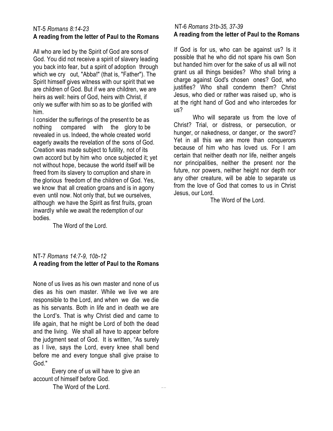#### NT-5 *Romans 8:14-23* **A reading from the letter of Paul to the Romans**

All who are led by the Spirit of God are sons of God. You did not receive a spirit of slavery leading you back into fear, but a spirit of adoption through which we cryout, "Abba!" (that is, "Father"). The Spirit himself gives witness with our spirit that we are children of God. But if we are children, we are heirs as well: heirs of God, heirs with Christ, if only we suffer with him so as to be glorified with him.

I consider the sufferings of the present to be as nothing compared with the glory to be revealed in us. Indeed, the whole created world eagerly awaits the revelation of the sons of God. Creation was made subject to futility, not of its own accord but by him who once subjected it; yet not without hope, because the world itself will be freed from its slavery to corruption and share in the glorious freedom of the children of God. Yes, we know that all creation groans and is in agony even until now. Not only that, but we ourselves, although we have the Spirit as first fruits, groan inwardly while we await the redemption of our bodies.

The Word of the Lord.

### NT-7 *Romans 14:7-9, 10b-12*  **A reading from the letter of Paul to the Romans**

None of us lives as his own master and none of us dies as his own master. While we live we are responsible to the Lord, and when we die we die as his servants. Both in life and in death we are the Lord's. That is why Christ died and came to life again, that he might be Lord of both the dead and the living. We shall all have to appear before the judgment seat of God. It is written, "As surely as I live, says the Lord, every knee shall bend before me and every tongue shall give praise to God."

Every one of us will have to give an account of himself before God.

 $\ddot{\phantom{1}}$ 

The Word of the Lord.

#### NT-6 *Romans 31b-35, 37-39* **A reading from the letter of Paul to the Romans**

If God is for us, who can be against us? Is it possible that he who did not spare his own Son but handed him over for the sake of us all will not grant us all things besides? Who shall bring a charge against God's chosen ones? God, who justifies? Who shall condemn them? Christ Jesus, who died or rather was raised up, who is at the right hand of God and who intercedes for us?

Who will separate us from the love of Christ? Trial, or distress, or persecution, or hunger, or nakedness, or danger, or the sword? Yet in all this we are more than conquerors because of him who has loved us. For I am certain that neither death nor life, neither angels nor principalities, neither the present nor the future, nor powers, neither height nor depth nor any other creature, will be able to separate us from the love of God that comes to us in Christ Jesus, our Lord.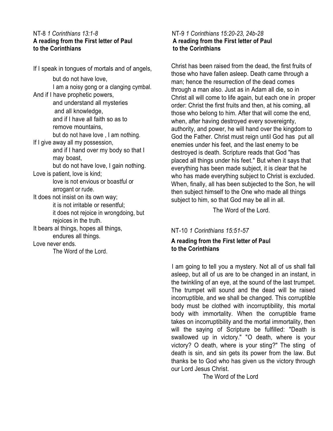#### NT-8 *1 Corinthians 13:1-8* NT-9 *1 Corinthians 15:20-23, 24b-28* A reading from the First letter of Paul **A** reading from the First letter of Paul **to the Corinthians to the Corinthians**

If I speak in tongues of mortals and of angels, but do not have love, I am a noisy gong or a clanging cymbal. And if I have prophetic powers, and understand all mysteries and all knowledge, and if I have all faith so as to remove mountains, but do not have love , I am nothing. If I give away all my possession, and if I hand over my body so that I may boast, but do not have love, I gain nothing. Love is patient, love is kind; love is not envious or boastful or arrogant or rude. It does not insist on its own way; it is not irritable or resentful; it does not rejoice in wrongdoing, but rejoices in the truth. It bears al things, hopes all things, endures all things. Love never ends. The Word of the Lord.

Christ has been raised from the dead, the first fruits of those who have fallen asleep. Death came through a man; hence the resurrection of the dead comes through a man also. Just as in Adam all die, so in Christ all will come to life again, but each one in proper order: Christ the first fruits and then, at his coming, all those who belong to him. After that will come the end, when, after having destroyed every sovereignty, authority, and power, he will hand over the kingdom to God the Father. Christ must reign until God has put all enemies under his feet, and the last enemy to be destroyed is death. Scripture reads that God "has placed all things under his feet." But when it says that everything has been made subject, it is clear that he who has made everything subject to Christ is excluded. When, finally, all has been subjected to the Son, he will then subject himself to the One who made all things subject to him, so that God may be all in all.

The Word of the Lord.

### NT-10 *1 Corinthians 15:51-57*

#### **A reading from the First letter of Paul to the Corinthians**

I am going to tell you a mystery. Not all of us shall fall asleep, but all of us are to be changed in an instant, in the twinkling of an eye, at the sound of the last trumpet. The trumpet will sound and the dead will be raised incorruptible, and we shall be changed. This corruptible body must be clothed with incorruptibility, this mortal body with immortality. When the corruptible frame takes on incorruptibility and the mortal immortality, then will the saying of Scripture be fulfilled: "Death is swallowed up in victory." "O death, where is your victory? O death, where is your sting?" The sting of death is sin, and sin gets its power from the law. But thanks be to God who has given us the victory through our Lord Jesus Christ.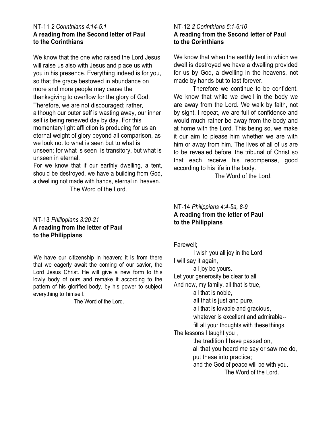#### NT-11 *2 Corinthians 4:14-5:1*  **A reading from the Second letter of Paul to the Corinthians**

We know that the one who raised the Lord Jesus will raise us also with Jesus and place us with you in his presence. Everything indeed is for you, so that the grace bestowed in abundance on more and more people may cause the thanksgiving to overflow for the glory of God. Therefore, we are not discouraged; rather, although our outer self is wasting away, our inner self is being renewed day by day. For this momentary light affliction is producing for us an eternal weight of glory beyond all comparison, as we look not to what is seen but to what is unseen; for what is seen is transitory, but what is unseen in eternal.

For we know that if our earthly dwelling, a tent, should be destroyed, we have a building from God, a dwelling not made with hands, eternal in heaven.

The Word of the Lord.

#### NT-13 *Philippians 3:20-21* **A reading from the letter of Paul to the Philippians**

We have our citizenship in heaven; it is from there that we eagerly await the coming of our savior, the Lord Jesus Christ. He will give a new form to this lowly body of ours and remake it according to the pattern of his glorified body, by his power to subject everything to himself.

The Word of the Lord.

#### NT-12 *2 Corinthians 5:1-6:10*  **A reading from the Second letter of Paul to the Corinthians**

We know that when the earthly tent in which we dwell is destroyed we have a dwelling provided for us by God, a dwelling in the heavens, not made by hands but to last forever.

Therefore we continue to be confident. We know that while we dwell in the body we are away from the Lord. We walk by faith, not by sight. I repeat, we are full of confidence and would much rather be away from the body and at home with the Lord. This being so, we make it our aim to please him whether we are with him or away from him. The lives of all of us are to be revealed before the tribunal of Christ so that each receive his recompense, good according to his life in the body.

The Word of the Lord.

#### NT-14 *Philippians 4:4-5a, 8-9*  **A reading from the letter of Paul to the Philippians**

Farewell;

I wish you all joy in the Lord. I will say it again,

all joy be yours.

Let your generosity be clear to all

And now, my family, all that is true,

all that is noble,

all that is just and pure,

all that is lovable and gracious,

whatever is excellent and admirable--

fill all your thoughts with these things.

The lessons I taught you ,

the tradition I have passed on,

all that you heard me say or saw me do,

put these into practice;

and the God of peace will be with you.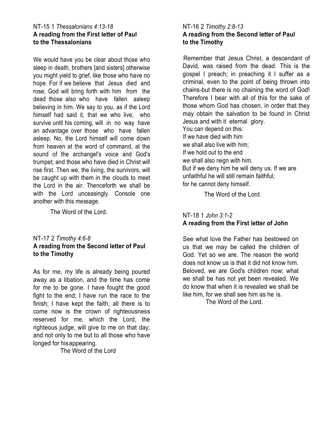#### NT-15 1 *Thessalonians 4:13-18* **A reading from the First letter of Paul to the Thessalonians**

We would have you be clear about those who sleep in death, brothers [and sisters] otherwise you might yield to grief, like those who have no hope. For if we believe that Jesus died and rose, God will bring forth with him from the dead those also who have fallen asleep believing in him. We say to you, as if the Lord himself had said it, that we who live, who survive until his coming, will in no way have an advantage over those who have fallen asleep. No, the Lord himself will come down from heaven at the word of command, at the sound of the archangel's voice and God's trumpet; and those who have died in Christ will rise first. Then we, the living, the survivors, will be caught up with them in the clouds to meet the Lord in the air. Thenceforth we shall be with the Lord unceasingly. Console one another with this message.

The Word of the Lord.

### NT-17 2 *Timothy 4:6-8*  **A reading from the Second letter of Paul to the Timothy**

As for me, my life is already being poured away as a libation, and the time has come for me to be gone. I have fought the good fight to the end; I have run the race to the finish; I have kept the faith; all there is to come now is the crown of righteousness reserved for me, which the Lord, the righteous judge, will give to me on that day; and not only to me but to all those who have longed for his appearing.

The Word of the Lord

#### NT-16 2 *Timothy 2:8-13* **A reading from the Second letter of Paul to the Timothy**

Remember that Jesus Christ, a descendant of David, was raised from the dead. This is the gospel I preach; in preaching it I suffer as a criminal, even to the point of being thrown into chains-but there is no chaining the word of God! Therefore I bear with all of this for the sake of those whom God has chosen, in order that they may obtain the salvation to be found in Christ Jesus and with it eternal glory. You can depend on this: If we have died with him we shall also live with him; If we hold out to the end we shall also reign with him. But if we deny him he will deny us. If we are unfaithful he will still remain faithful; for he cannot deny himself.

The Word of the Lord.

### NT-18 1 *John 3:1-2*  **A reading from the First letter of John**

See what love the Father has bestowed on us that we may be called the children of God. Yet so we are. The reason the world does not know us is that it did not know him. Beloved, we are God's children now; what we shall be has not yet been revealed. We do know that when it is revealed we shall be like him, for we shall see him as he is.